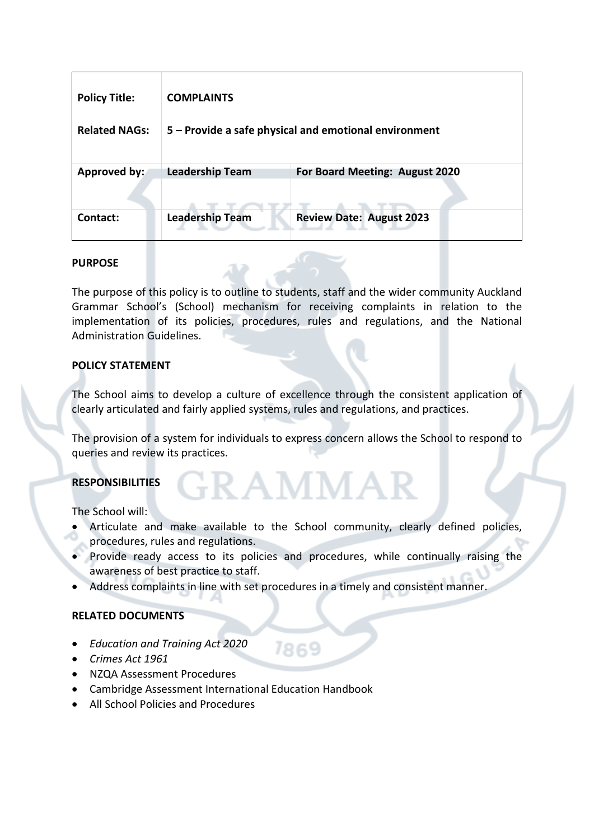| <b>Policy Title:</b> | <b>COMPLAINTS</b>                                     |                                 |
|----------------------|-------------------------------------------------------|---------------------------------|
| <b>Related NAGs:</b> | 5 - Provide a safe physical and emotional environment |                                 |
| Approved by:         | <b>Leadership Team</b>                                | For Board Meeting: August 2020  |
| Contact:             | <b>Leadership Team</b>                                | <b>Review Date: August 2023</b> |

### **PURPOSE**

The purpose of this policy is to outline to students, staff and the wider community Auckland Grammar School's (School) mechanism for receiving complaints in relation to the implementation of its policies, procedures, rules and regulations, and the National Administration Guidelines.

### **POLICY STATEMENT**

The School aims to develop a culture of excellence through the consistent application of clearly articulated and fairly applied systems, rules and regulations, and practices.

The provision of a system for individuals to express concern allows the School to respond to queries and review its practices.

FRAMMA<sup>®</sup>

# **RESPONSIBILITIES**

The School will:

- Articulate and make available to the School community, clearly defined policies, procedures, rules and regulations.
- Provide ready access to its policies and procedures, while continually raising the awareness of best practice to staff.

7869

• Address complaints in line with set procedures in a timely and consistent manner.

#### **RELATED DOCUMENTS**

- *Education and Training Act 2020*
- *Crimes Act 1961*
- NZQA Assessment Procedures
- Cambridge Assessment International Education Handbook
- All School Policies and Procedures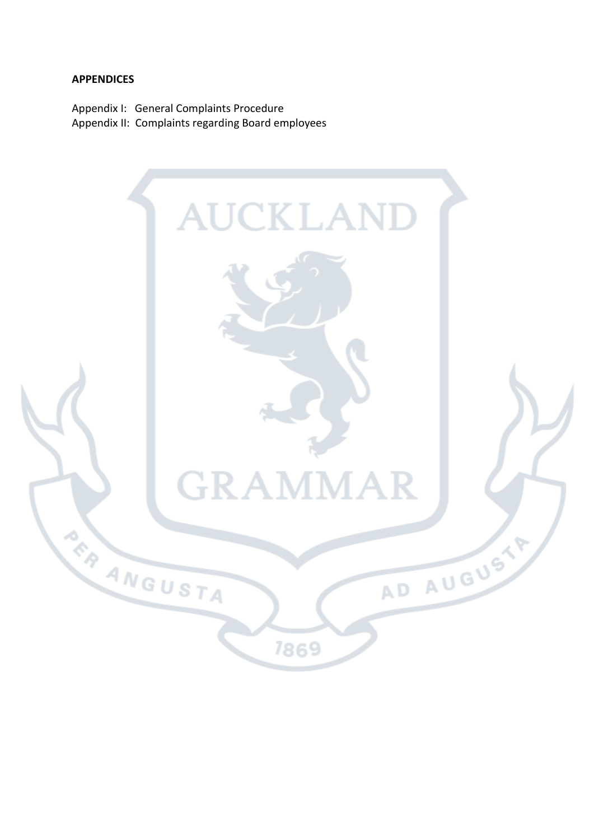#### **APPENDICES**

Appendix I: General Complaints Procedure Appendix II: Complaints regarding Board employees

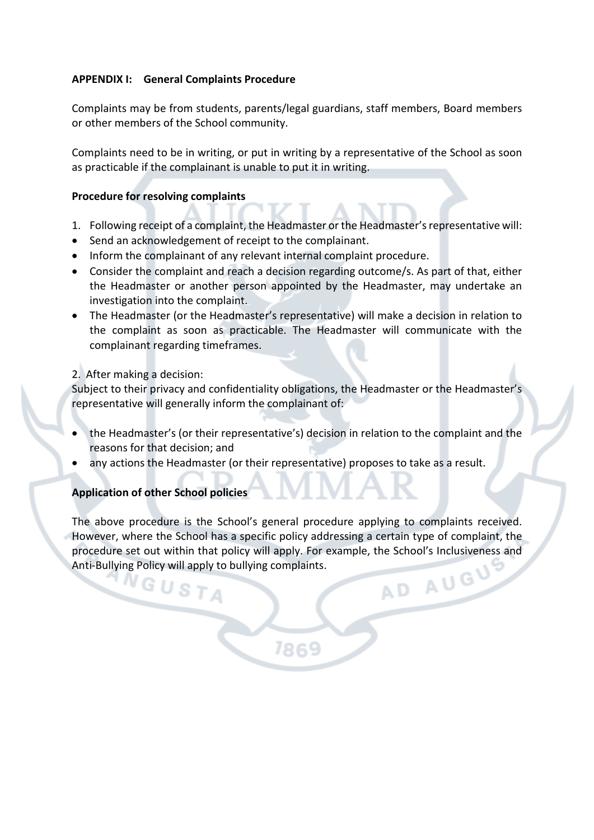## **APPENDIX I: General Complaints Procedure**

Complaints may be from students, parents/legal guardians, staff members, Board members or other members of the School community.

Complaints need to be in writing, or put in writing by a representative of the School as soon as practicable if the complainant is unable to put it in writing.

#### **Procedure for resolving complaints**

- 1. Following receipt of a complaint, the Headmaster or the Headmaster's representative will:
- Send an acknowledgement of receipt to the complainant.
- Inform the complainant of any relevant internal complaint procedure.
- Consider the complaint and reach a decision regarding outcome/s. As part of that, either the Headmaster or another person appointed by the Headmaster, may undertake an investigation into the complaint.
- The Headmaster (or the Headmaster's representative) will make a decision in relation to the complaint as soon as practicable. The Headmaster will communicate with the complainant regarding timeframes.

### 2. After making a decision:

Subject to their privacy and confidentiality obligations, the Headmaster or the Headmaster's representative will generally inform the complainant of:

- the Headmaster's (or their representative's) decision in relation to the complaint and the reasons for that decision; and
- any actions the Headmaster (or their representative) proposes to take as a result.

# **Application of other School policies**

The above procedure is the School's general procedure applying to complaints received. However, where the School has a specific policy addressing a certain type of complaint, the procedure set out within that policy will apply. For example, the School's Inclusiveness and<br>Anti-Bullying Policy will apply to bullying complaints. Anti-Bullying Policy will apply to bullying complaints.

7869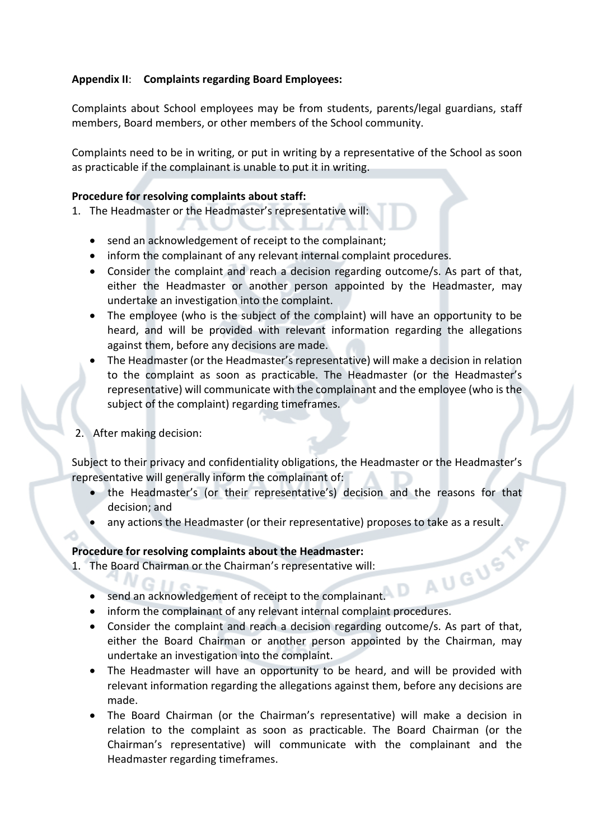# **Appendix II**: **Complaints regarding Board Employees:**

Complaints about School employees may be from students, parents/legal guardians, staff members, Board members, or other members of the School community.

Complaints need to be in writing, or put in writing by a representative of the School as soon as practicable if the complainant is unable to put it in writing.

### **Procedure for resolving complaints about staff:**

1. The Headmaster or the Headmaster's representative will:

- send an acknowledgement of receipt to the complainant;
- inform the complainant of any relevant internal complaint procedures.
- Consider the complaint and reach a decision regarding outcome/s. As part of that, either the Headmaster or another person appointed by the Headmaster, may undertake an investigation into the complaint.
- The employee (who is the subject of the complaint) will have an opportunity to be heard, and will be provided with relevant information regarding the allegations against them, before any decisions are made.
- The Headmaster (or the Headmaster's representative) will make a decision in relation to the complaint as soon as practicable. The Headmaster (or the Headmaster's representative) will communicate with the complainant and the employee (who is the subject of the complaint) regarding timeframes.
- 2. After making decision:

Subject to their privacy and confidentiality obligations, the Headmaster or the Headmaster's representative will generally inform the complainant of:

- the Headmaster's (or their representative's) decision and the reasons for that decision; and
- any actions the Headmaster (or their representative) proposes to take as a result.<br> **ure for resolving complaints about the Headmaster:**<br>
Board Chairman or the Chairman's representative will:<br>
send an acknowledgement

# **Procedure for resolving complaints about the Headmaster:**

- 1. The Board Chairman or the Chairman's representative will:
	- send an acknowledgement of receipt to the complainant.
	- inform the complainant of any relevant internal complaint procedures.
	- Consider the complaint and reach a decision regarding outcome/s. As part of that, either the Board Chairman or another person appointed by the Chairman, may undertake an investigation into the complaint.
	- The Headmaster will have an opportunity to be heard, and will be provided with relevant information regarding the allegations against them, before any decisions are made.
	- The Board Chairman (or the Chairman's representative) will make a decision in relation to the complaint as soon as practicable. The Board Chairman (or the Chairman's representative) will communicate with the complainant and the Headmaster regarding timeframes.